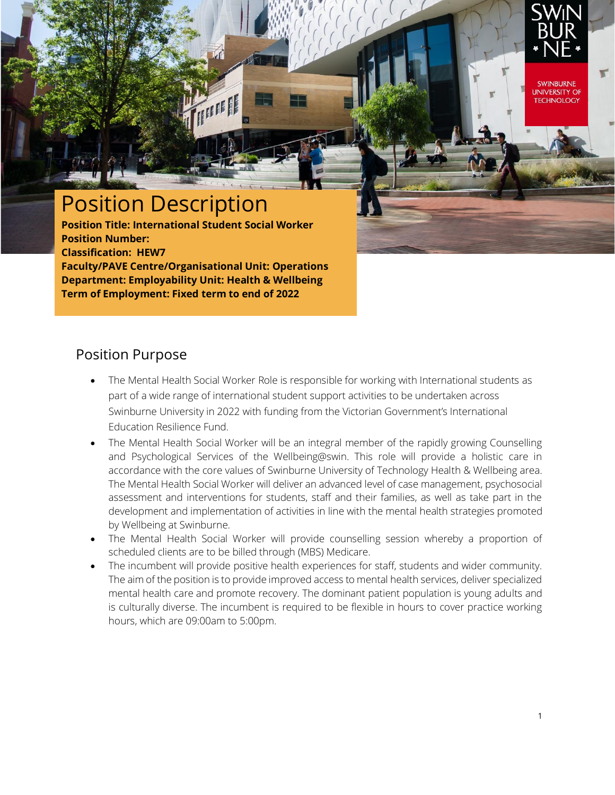

**UNIVERSITY OF TECHNOLOGY** 

# Position Description

**Position Title: International Student Social Worker Position Number: Classification: HEW7 Faculty/PAVE Centre/Organisational Unit: Operations Department: Employability Unit: Health & Wellbeing Term of Employment: Fixed term to end of 2022**

#### Position Purpose

- The Mental Health Social Worker Role is responsible for working with International students as part of a wide range of international student support activities to be undertaken across Swinburne University in 2022 with funding from the Victorian Government's International Education Resilience Fund.
- The Mental Health Social Worker will be an integral member of the rapidly growing Counselling and Psychological Services of the Wellbeing@swin. This role will provide a holistic care in accordance with the core values of Swinburne University of Technology Health & Wellbeing area. The Mental Health Social Worker will deliver an advanced level of case management, psychosocial assessment and interventions for students, staff and their families, as well as take part in the development and implementation of activities in line with the mental health strategies promoted by Wellbeing at Swinburne.
- The Mental Health Social Worker will provide counselling session whereby a proportion of scheduled clients are to be billed through (MBS) Medicare.
- The incumbent will provide positive health experiences for staff, students and wider community. The aim of the position is to provide improved access to mental health services, deliver specialized mental health care and promote recovery. The dominant patient population is young adults and is culturally diverse. The incumbent is required to be flexible in hours to cover practice working hours, which are 09:00am to 5:00pm.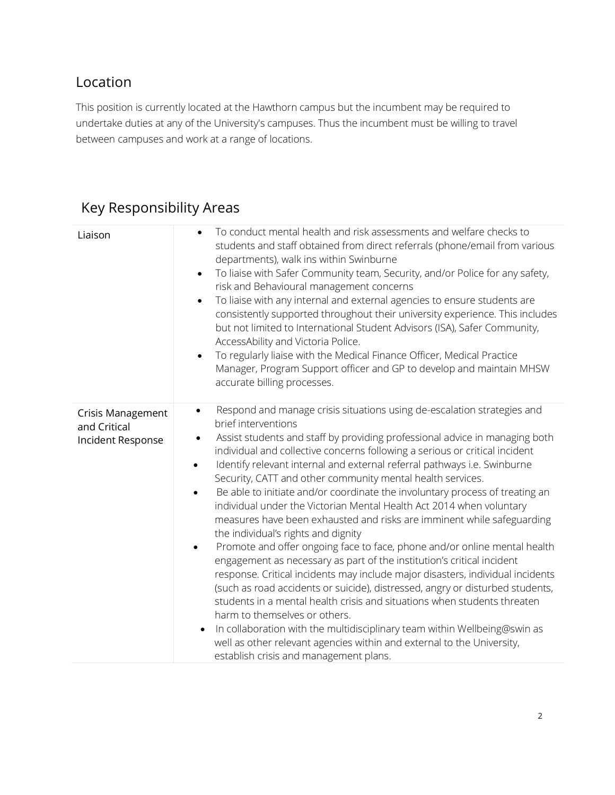### Location

This position is currently located at the Hawthorn campus but the incumbent may be required to undertake duties at any of the University's campuses. Thus the incumbent must be willing to travel between campuses and work at a range of locations.

## Key Responsibility Areas

| Liaison                                                       | To conduct mental health and risk assessments and welfare checks to<br>$\bullet$<br>students and staff obtained from direct referrals (phone/email from various<br>departments), walk ins within Swinburne<br>To liaise with Safer Community team, Security, and/or Police for any safety,<br>$\bullet$<br>risk and Behavioural management concerns<br>To liaise with any internal and external agencies to ensure students are<br>$\bullet$<br>consistently supported throughout their university experience. This includes<br>but not limited to International Student Advisors (ISA), Safer Community,<br>AccessAbility and Victoria Police.<br>To regularly liaise with the Medical Finance Officer, Medical Practice<br>$\bullet$<br>Manager, Program Support officer and GP to develop and maintain MHSW<br>accurate billing processes.                                                                                                                                                                                                                                                                                                                                                                                                                                                                                                                  |
|---------------------------------------------------------------|----------------------------------------------------------------------------------------------------------------------------------------------------------------------------------------------------------------------------------------------------------------------------------------------------------------------------------------------------------------------------------------------------------------------------------------------------------------------------------------------------------------------------------------------------------------------------------------------------------------------------------------------------------------------------------------------------------------------------------------------------------------------------------------------------------------------------------------------------------------------------------------------------------------------------------------------------------------------------------------------------------------------------------------------------------------------------------------------------------------------------------------------------------------------------------------------------------------------------------------------------------------------------------------------------------------------------------------------------------------|
| <b>Crisis Management</b><br>and Critical<br>Incident Response | Respond and manage crisis situations using de-escalation strategies and<br>$\bullet$<br>brief interventions<br>Assist students and staff by providing professional advice in managing both<br>$\bullet$<br>individual and collective concerns following a serious or critical incident<br>Identify relevant internal and external referral pathways i.e. Swinburne<br>$\bullet$<br>Security, CATT and other community mental health services.<br>Be able to initiate and/or coordinate the involuntary process of treating an<br>individual under the Victorian Mental Health Act 2014 when voluntary<br>measures have been exhausted and risks are imminent while safeguarding<br>the individual's rights and dignity<br>Promote and offer ongoing face to face, phone and/or online mental health<br>engagement as necessary as part of the institution's critical incident<br>response. Critical incidents may include major disasters, individual incidents<br>(such as road accidents or suicide), distressed, angry or disturbed students,<br>students in a mental health crisis and situations when students threaten<br>harm to themselves or others.<br>In collaboration with the multidisciplinary team within Wellbeing@swin as<br>well as other relevant agencies within and external to the University,<br>establish crisis and management plans. |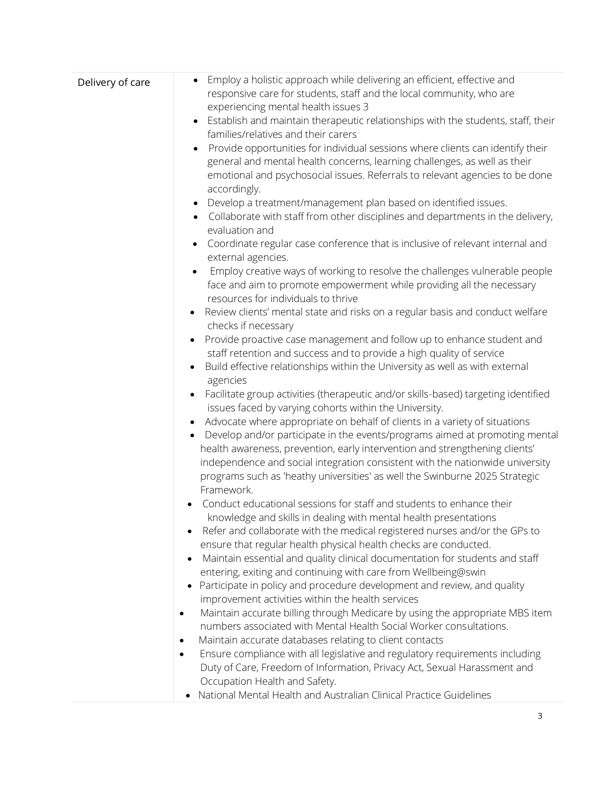| Delivery of care | Employ a holistic approach while delivering an efficient, effective and<br>responsive care for students, staff and the local community, who are             |  |  |
|------------------|-------------------------------------------------------------------------------------------------------------------------------------------------------------|--|--|
|                  | experiencing mental health issues 3                                                                                                                         |  |  |
|                  | Establish and maintain therapeutic relationships with the students, staff, their<br>families/relatives and their carers                                     |  |  |
|                  |                                                                                                                                                             |  |  |
|                  | Provide opportunities for individual sessions where clients can identify their<br>general and mental health concerns, learning challenges, as well as their |  |  |
|                  | emotional and psychosocial issues. Referrals to relevant agencies to be done                                                                                |  |  |
|                  | accordingly.                                                                                                                                                |  |  |
|                  | Develop a treatment/management plan based on identified issues.<br>$\bullet$                                                                                |  |  |
|                  | Collaborate with staff from other disciplines and departments in the delivery,                                                                              |  |  |
|                  | evaluation and                                                                                                                                              |  |  |
|                  | Coordinate regular case conference that is inclusive of relevant internal and                                                                               |  |  |
|                  | external agencies.                                                                                                                                          |  |  |
|                  | Employ creative ways of working to resolve the challenges vulnerable people                                                                                 |  |  |
|                  | face and aim to promote empowerment while providing all the necessary                                                                                       |  |  |
|                  | resources for individuals to thrive                                                                                                                         |  |  |
|                  | Review clients' mental state and risks on a regular basis and conduct welfare<br>$\bullet$                                                                  |  |  |
|                  | checks if necessary                                                                                                                                         |  |  |
|                  | Provide proactive case management and follow up to enhance student and<br>$\bullet$                                                                         |  |  |
|                  | staff retention and success and to provide a high quality of service                                                                                        |  |  |
|                  | Build effective relationships within the University as well as with external                                                                                |  |  |
|                  | agencies                                                                                                                                                    |  |  |
|                  | Facilitate group activities (therapeutic and/or skills-based) targeting identified<br>$\bullet$                                                             |  |  |
|                  | issues faced by varying cohorts within the University.                                                                                                      |  |  |
|                  | Advocate where appropriate on behalf of clients in a variety of situations                                                                                  |  |  |
|                  | Develop and/or participate in the events/programs aimed at promoting mental<br>health awareness, prevention, early intervention and strengthening clients'  |  |  |
|                  | independence and social integration consistent with the nationwide university                                                                               |  |  |
|                  | programs such as 'heathy universities' as well the Swinburne 2025 Strategic                                                                                 |  |  |
|                  | Framework.                                                                                                                                                  |  |  |
|                  | Conduct educational sessions for staff and students to enhance their                                                                                        |  |  |
|                  | knowledge and skills in dealing with mental health presentations                                                                                            |  |  |
|                  | Refer and collaborate with the medical registered nurses and/or the GPs to                                                                                  |  |  |
|                  | ensure that regular health physical health checks are conducted.                                                                                            |  |  |
|                  | Maintain essential and quality clinical documentation for students and staff                                                                                |  |  |
|                  | entering, exiting and continuing with care from Wellbeing@swin                                                                                              |  |  |
|                  | Participate in policy and procedure development and review, and quality                                                                                     |  |  |
|                  | improvement activities within the health services                                                                                                           |  |  |
|                  | Maintain accurate billing through Medicare by using the appropriate MBS item<br>$\bullet$                                                                   |  |  |
|                  | numbers associated with Mental Health Social Worker consultations.                                                                                          |  |  |
|                  | Maintain accurate databases relating to client contacts<br>٠                                                                                                |  |  |
|                  | Ensure compliance with all legislative and regulatory requirements including<br>$\bullet$                                                                   |  |  |
|                  | Duty of Care, Freedom of Information, Privacy Act, Sexual Harassment and                                                                                    |  |  |
|                  | Occupation Health and Safety.                                                                                                                               |  |  |
|                  | National Mental Health and Australian Clinical Practice Guidelines                                                                                          |  |  |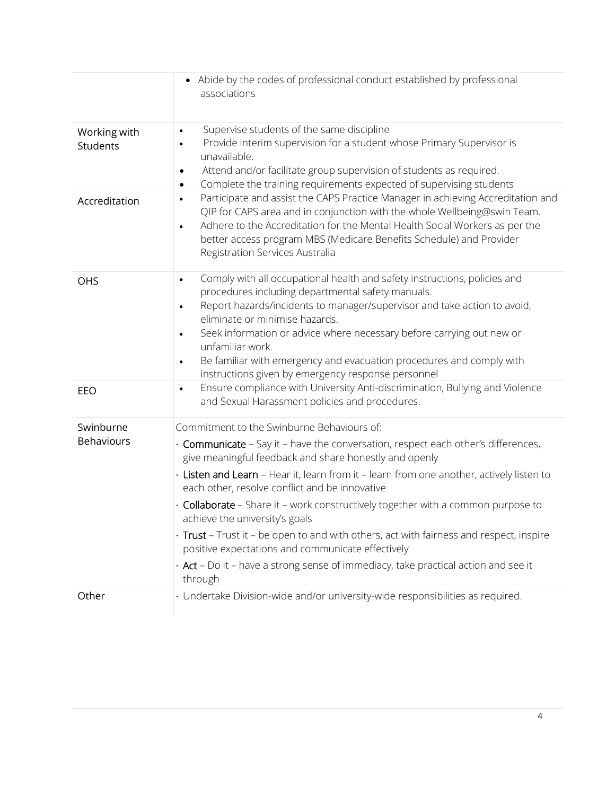|                                | • Abide by the codes of professional conduct established by professional<br>associations                                                                                                                                                                                                                                                                                                                                                                                                                                                                                                                                                                                                                             |
|--------------------------------|----------------------------------------------------------------------------------------------------------------------------------------------------------------------------------------------------------------------------------------------------------------------------------------------------------------------------------------------------------------------------------------------------------------------------------------------------------------------------------------------------------------------------------------------------------------------------------------------------------------------------------------------------------------------------------------------------------------------|
| Working with<br>Students       | Supervise students of the same discipline<br>$\bullet$<br>Provide interim supervision for a student whose Primary Supervisor is<br>$\bullet$<br>unavailable.<br>Attend and/or facilitate group supervision of students as required.<br>٠<br>Complete the training requirements expected of supervising students<br>$\bullet$                                                                                                                                                                                                                                                                                                                                                                                         |
| Accreditation                  | Participate and assist the CAPS Practice Manager in achieving Accreditation and<br>$\bullet$<br>QIP for CAPS area and in conjunction with the whole Wellbeing@swin Team.<br>Adhere to the Accreditation for the Mental Health Social Workers as per the<br>$\bullet$<br>better access program MBS (Medicare Benefits Schedule) and Provider<br>Registration Services Australia                                                                                                                                                                                                                                                                                                                                       |
| OHS                            | Comply with all occupational health and safety instructions, policies and<br>$\bullet$<br>procedures including departmental safety manuals.<br>Report hazards/incidents to manager/supervisor and take action to avoid,<br>$\bullet$<br>eliminate or minimise hazards.<br>Seek information or advice where necessary before carrying out new or<br>$\bullet$<br>unfamiliar work.<br>Be familiar with emergency and evacuation procedures and comply with<br>$\bullet$<br>instructions given by emergency response personnel                                                                                                                                                                                          |
| EEO                            | Ensure compliance with University Anti-discrimination, Bullying and Violence<br>$\bullet$<br>and Sexual Harassment policies and procedures.                                                                                                                                                                                                                                                                                                                                                                                                                                                                                                                                                                          |
| Swinburne<br><b>Behaviours</b> | Commitment to the Swinburne Behaviours of:<br>· Communicate - Say it - have the conversation, respect each other's differences,<br>give meaningful feedback and share honestly and openly<br>· Listen and Learn - Hear it, learn from it - learn from one another, actively listen to<br>each other, resolve conflict and be innovative<br>· Collaborate - Share it - work constructively together with a common purpose to<br>achieve the university's goals<br>· Trust - Trust it - be open to and with others, act with fairness and respect, inspire<br>positive expectations and communicate effectively<br>$\cdot$ Act - Do it - have a strong sense of immediacy, take practical action and see it<br>through |
| Other                          | · Undertake Division-wide and/or university-wide responsibilities as required.                                                                                                                                                                                                                                                                                                                                                                                                                                                                                                                                                                                                                                       |